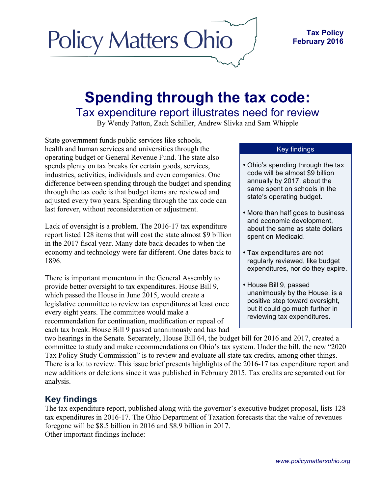## **Policy Matters Ohio**

## **Spending through the tax code:** Tax expenditure report illustrates need for review

By Wendy Patton, Zach Schiller, Andrew Slivka and Sam Whipple

State government funds public services like schools, health and human services and universities through the operating budget or General Revenue Fund. The state also spends plenty on tax breaks for certain goods, services, industries, activities, individuals and even companies. One difference between spending through the budget and spending through the tax code is that budget items are reviewed and adjusted every two years. Spending through the tax code can last forever, without reconsideration or adjustment.

Lack of oversight is a problem. The 2016-17 tax expenditure report listed 128 items that will cost the state almost \$9 billion in the 2017 fiscal year. Many date back decades to when the economy and technology were far different. One dates back to 1896.

There is important momentum in the General Assembly to provide better oversight to tax expenditures. House Bill 9, which passed the House in June 2015, would create a legislative committee to review tax expenditures at least once every eight years. The committee would make a recommendation for continuation, modification or repeal of each tax break. House Bill 9 passed unanimously and has had

## Key findings

- Ohio's spending through the tax code will be almost \$9 billion annually by 2017, about the same spent on schools in the state's operating budget.
- More than half goes to business and economic development, about the same as state dollars spent on Medicaid.
- Tax expenditures are not regularly reviewed, like budget expenditures, nor do they expire.
- House Bill 9, passed unanimously by the House, is a positive step toward oversight, but it could go much further in reviewing tax expenditures.

two hearings in the Senate. Separately, House Bill 64, the budget bill for 2016 and 2017, created a committee to study and make recommendations on Ohio's tax system. Under the bill, the new "2020 Tax Policy Study Commission" is to review and evaluate all state tax credits, among other things. There is a lot to review. This issue brief presents highlights of the 2016-17 tax expenditure report and new additions or deletions since it was published in February 2015. Tax credits are separated out for analysis.

## **Key findings**

The tax expenditure report, published along with the governor's executive budget proposal, lists 128 tax expenditures in 2016-17. The Ohio Department of Taxation forecasts that the value of revenues foregone will be \$8.5 billion in 2016 and \$8.9 billion in 2017. Other important findings include: